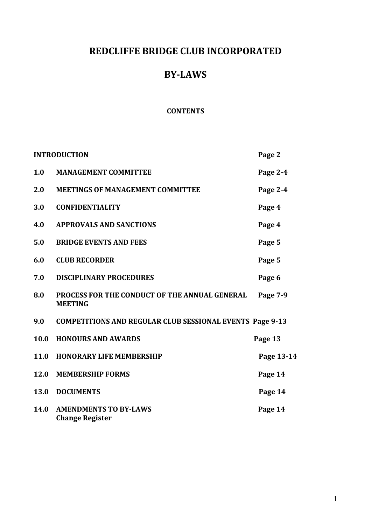# **REDCLIFFE BRIDGE CLUB INCORPORATED**

# **BY-LAWS**

#### **CONTENTS**

| <b>INTRODUCTION</b> |                                                                 | Page 2     |
|---------------------|-----------------------------------------------------------------|------------|
| 1.0                 | <b>MANAGEMENT COMMITTEE</b>                                     | Page 2-4   |
| 2.0                 | <b>MEETINGS OF MANAGEMENT COMMITTEE</b>                         | Page 2-4   |
| 3.0                 | <b>CONFIDENTIALITY</b>                                          | Page 4     |
| 4.0                 | <b>APPROVALS AND SANCTIONS</b>                                  | Page 4     |
| 5.0                 | <b>BRIDGE EVENTS AND FEES</b>                                   | Page 5     |
| 6.0                 | <b>CLUB RECORDER</b>                                            | Page 5     |
| 7.0                 | <b>DISCIPLINARY PROCEDURES</b>                                  | Page 6     |
| 8.0                 | PROCESS FOR THE CONDUCT OF THE ANNUAL GENERAL<br><b>MEETING</b> | Page 7-9   |
| 9.0                 | <b>COMPETITIONS AND REGULAR CLUB SESSIONAL EVENTS Page 9-13</b> |            |
| 10.0                | <b>HONOURS AND AWARDS</b>                                       | Page 13    |
| 11.0                | <b>HONORARY LIFE MEMBERSHIP</b>                                 | Page 13-14 |
| 12.0                | <b>MEMBERSHIP FORMS</b>                                         | Page 14    |
| 13.0                | <b>DOCUMENTS</b>                                                | Page 14    |
| 14.0                | <b>AMENDMENTS TO BY-LAWS</b><br><b>Change Register</b>          | Page 14    |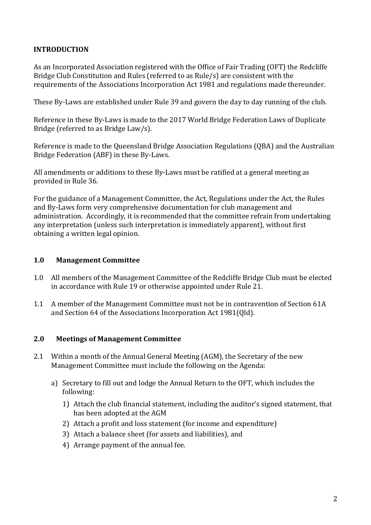# **INTRODUCTION**

As an Incorporated Association registered with the Office of Fair Trading (OFT) the Redcliffe Bridge Club Constitution and Rules (referred to as Rule/s) are consistent with the requirements of the Associations Incorporation Act 1981 and regulations made thereunder.

These By-Laws are established under Rule 39 and govern the day to day running of the club.

Reference in these By-Laws is made to the 2017 World Bridge Federation Laws of Duplicate Bridge (referred to as Bridge Law/s).

Reference is made to the Queensland Bridge Association Regulations (QBA) and the Australian Bridge Federation (ABF) in these By-Laws.

All amendments or additions to these By-Laws must be ratified at a general meeting as provided in Rule 36.

For the guidance of a Management Committee, the Act, Regulations under the Act, the Rules and By-Laws form very comprehensive documentation for club management and administration. Accordingly, it is recommended that the committee refrain from undertaking any interpretation (unless such interpretation is immediately apparent), without first obtaining a written legal opinion.

## **1.0 Management Committee**

- 1.0 All members of the Management Committee of the Redcliffe Bridge Club must be elected in accordance with Rule 19 or otherwise appointed under Rule 21.
- 1.1 A member of the Management Committee must not be in contravention of Section 61A and Section 64 of the Associations Incorporation Act 1981(Qld).

## **2.0 Meetings of Management Committee**

- 2.1 Within a month of the Annual General Meeting (AGM), the Secretary of the new Management Committee must include the following on the Agenda:
	- a) Secretary to fill out and lodge the Annual Return to the OFT, which includes the following:
		- 1) Attach the club financial statement, including the auditor's signed statement, that has been adopted at the AGM
		- 2) Attach a profit and loss statement (for income and expenditure)
		- 3) Attach a balance sheet (for assets and liabilities), and
		- 4) Arrange payment of the annual fee.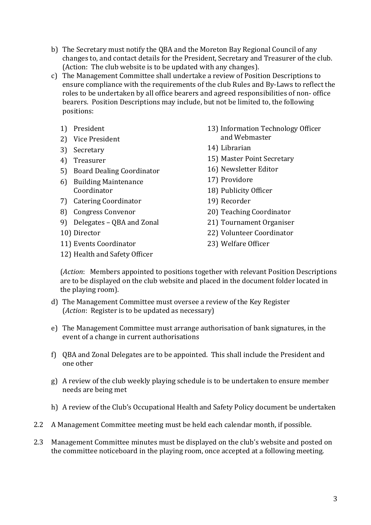- b) The Secretary must notify the QBA and the Moreton Bay Regional Council of any changes to, and contact details for the President, Secretary and Treasurer of the club. (Action: The club website is to be updated with any changes).
- c) The Management Committee shall undertake a review of Position Descriptions to ensure compliance with the requirements of the club Rules and By-Laws to reflect the roles to be undertaken by all office bearers and agreed responsibilities of non- office bearers. Position Descriptions may include, but not be limited to, the following positions:
	- 1) President
	- 2) Vice President
	- 3) Secretary
	- 4) Treasurer
	- 5) Board Dealing Coordinator
	- 6) Building Maintenance Coordinator
	- 7) Catering Coordinator
	- 8) Congress Convenor
	- 9) Delegates QBA and Zonal
	- 10) Director
	- 11) Events Coordinator
- 13) Information Technology Officer and Webmaster
- 14) Librarian
- 15) Master Point Secretary
- 16) Newsletter Editor
- 17) Providore
- 18) Publicity Officer
- 19) Recorder
- 20) Teaching Coordinator
- 21) Tournament Organiser
- 22) Volunteer Coordinator
- 23) Welfare Officer
- 12) Health and Safety Officer

(*Action*: Members appointed to positions together with relevant Position Descriptions are to be displayed on the club website and placed in the document folder located in the playing room).

- d) The Management Committee must oversee a review of the Key Register (*Action*: Register is to be updated as necessary)
- e) The Management Committee must arrange authorisation of bank signatures, in the event of a change in current authorisations
- f) QBA and Zonal Delegates are to be appointed. This shall include the President and one other
- g) A review of the club weekly playing schedule is to be undertaken to ensure member needs are being met
- h) A review of the Club's Occupational Health and Safety Policy document be undertaken
- 2.2 A Management Committee meeting must be held each calendar month, if possible.
- 2.3 Management Committee minutes must be displayed on the club's website and posted on the committee noticeboard in the playing room, once accepted at a following meeting.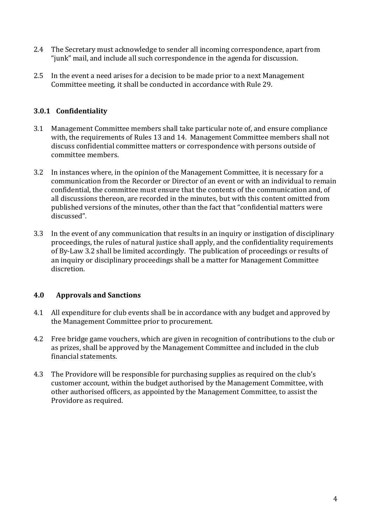- 2.4 The Secretary must acknowledge to sender all incoming correspondence, apart from "junk" mail, and include all such correspondence in the agenda for discussion.
- 2.5 In the event a need arises for a decision to be made prior to a next Management Committee meeting, it shall be conducted in accordance with Rule 29.

# **3.0.1 Confidentiality**

- 3.1 Management Committee members shall take particular note of, and ensure compliance with, the requirements of Rules 13 and 14. Management Committee members shall not discuss confidential committee matters or correspondence with persons outside of committee members.
- 3.2 In instances where, in the opinion of the Management Committee, it is necessary for a communication from the Recorder or Director of an event or with an individual to remain confidential, the committee must ensure that the contents of the communication and, of all discussions thereon, are recorded in the minutes, but with this content omitted from published versions of the minutes, other than the fact that "confidential matters were discussed".
- 3.3 In the event of any communication that results in an inquiry or instigation of disciplinary proceedings, the rules of natural justice shall apply, and the confidentiality requirements of By-Law 3.2 shall be limited accordingly. The publication of proceedings or results of an inquiry or disciplinary proceedings shall be a matter for Management Committee discretion.

## **4.0 Approvals and Sanctions**

- 4.1 All expenditure for club events shall be in accordance with any budget and approved by the Management Committee prior to procurement.
- 4.2 Free bridge game vouchers, which are given in recognition of contributions to the club or as prizes, shall be approved by the Management Committee and included in the club financial statements.
- 4.3 The Providore will be responsible for purchasing supplies as required on the club's customer account, within the budget authorised by the Management Committee, with other authorised officers, as appointed by the Management Committee, to assist the Providore as required.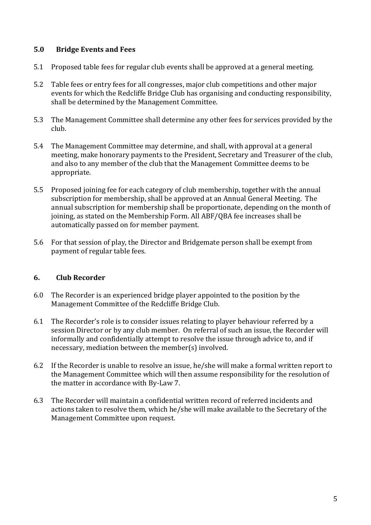## **5.0 Bridge Events and Fees**

- 5.1 Proposed table fees for regular club events shall be approved at a general meeting.
- 5.2 Table fees or entry fees for all congresses, major club competitions and other major events for which the Redcliffe Bridge Club has organising and conducting responsibility, shall be determined by the Management Committee.
- 5.3 The Management Committee shall determine any other fees for services provided by the club.
- 5.4 The Management Committee may determine, and shall, with approval at a general meeting, make honorary payments to the President, Secretary and Treasurer of the club, and also to any member of the club that the Management Committee deems to be appropriate.
- 5.5 Proposed joining fee for each category of club membership, together with the annual subscription for membership, shall be approved at an Annual General Meeting. The annual subscription for membership shall be proportionate, depending on the month of joining, as stated on the Membership Form. All ABF/QBA fee increases shall be automatically passed on for member payment.
- 5.6 For that session of play, the Director and Bridgemate person shall be exempt from payment of regular table fees.

#### **6. Club Recorder**

- 6.0 The Recorder is an experienced bridge player appointed to the position by the Management Committee of the Redcliffe Bridge Club.
- 6.1 The Recorder's role is to consider issues relating to player behaviour referred by a session Director or by any club member. On referral of such an issue, the Recorder will informally and confidentially attempt to resolve the issue through advice to, and if necessary, mediation between the member(s) involved.
- 6.2 If the Recorder is unable to resolve an issue, he/she will make a formal written report to the Management Committee which will then assume responsibility for the resolution of the matter in accordance with By-Law 7.
- 6.3 The Recorder will maintain a confidential written record of referred incidents and actions taken to resolve them, which he/she will make available to the Secretary of the Management Committee upon request.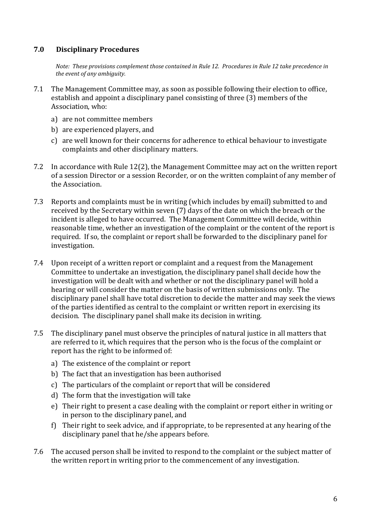## **7.0 Disciplinary Procedures**

*Note: These provisions complement those contained in Rule 12. Procedures in Rule 12 take precedence in the event of any ambiguity.*

- 7.1 The Management Committee may, as soon as possible following their election to office, establish and appoint a disciplinary panel consisting of three (3) members of the Association, who:
	- a) are not committee members
	- b) are experienced players, and
	- c) are well known for their concerns for adherence to ethical behaviour to investigate complaints and other disciplinary matters.
- 7.2 In accordance with Rule 12(2), the Management Committee may act on the written report of a session Director or a session Recorder, or on the written complaint of any member of the Association.
- 7.3 Reports and complaints must be in writing (which includes by email) submitted to and received by the Secretary within seven (7) days of the date on which the breach or the incident is alleged to have occurred. The Management Committee will decide, within reasonable time, whether an investigation of the complaint or the content of the report is required. If so, the complaint or report shall be forwarded to the disciplinary panel for investigation.
- 7.4 Upon receipt of a written report or complaint and a request from the Management Committee to undertake an investigation, the disciplinary panel shall decide how the investigation will be dealt with and whether or not the disciplinary panel will hold a hearing or will consider the matter on the basis of written submissions only. The disciplinary panel shall have total discretion to decide the matter and may seek the views of the parties identified as central to the complaint or written report in exercising its decision. The disciplinary panel shall make its decision in writing.
- 7.5 The disciplinary panel must observe the principles of natural justice in all matters that are referred to it, which requires that the person who is the focus of the complaint or report has the right to be informed of:
	- a) The existence of the complaint or report
	- b) The fact that an investigation has been authorised
	- c) The particulars of the complaint or report that will be considered
	- d) The form that the investigation will take
	- e) Their right to present a case dealing with the complaint or report either in writing or in person to the disciplinary panel, and
	- f) Their right to seek advice, and if appropriate, to be represented at any hearing of the disciplinary panel that he/she appears before.
- 7.6 The accused person shall be invited to respond to the complaint or the subject matter of the written report in writing prior to the commencement of any investigation.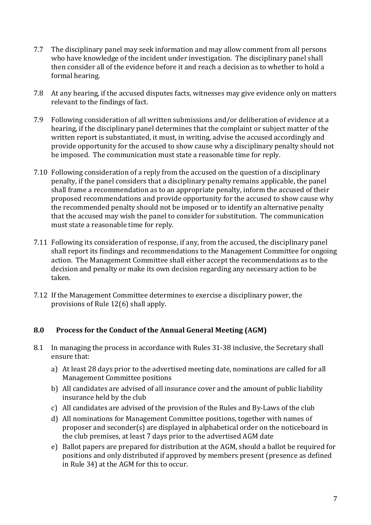- 7.7 The disciplinary panel may seek information and may allow comment from all persons who have knowledge of the incident under investigation. The disciplinary panel shall then consider all of the evidence before it and reach a decision as to whether to hold a formal hearing.
- 7.8 At any hearing, if the accused disputes facts, witnesses may give evidence only on matters relevant to the findings of fact.
- 7.9 Following consideration of all written submissions and/or deliberation of evidence at a hearing, if the disciplinary panel determines that the complaint or subject matter of the written report is substantiated, it must, in writing, advise the accused accordingly and provide opportunity for the accused to show cause why a disciplinary penalty should not be imposed. The communication must state a reasonable time for reply.
- 7.10 Following consideration of a reply from the accused on the question of a disciplinary penalty, if the panel considers that a disciplinary penalty remains applicable, the panel shall frame a recommendation as to an appropriate penalty, inform the accused of their proposed recommendations and provide opportunity for the accused to show cause why the recommended penalty should not be imposed or to identify an alternative penalty that the accused may wish the panel to consider for substitution. The communication must state a reasonable time for reply.
- 7.11 Following its consideration of response, if any, from the accused, the disciplinary panel shall report its findings and recommendations to the Management Committee for ongoing action. The Management Committee shall either accept the recommendations as to the decision and penalty or make its own decision regarding any necessary action to be taken.
- 7.12 If the Management Committee determines to exercise a disciplinary power, the provisions of Rule 12(6) shall apply.

## **8.0 Process for the Conduct of the Annual General Meeting (AGM)**

- 8.1 In managing the process in accordance with Rules 31-38 inclusive, the Secretary shall ensure that:
	- a) At least 28 days prior to the advertised meeting date, nominations are called for all Management Committee positions
	- b) All candidates are advised of all insurance cover and the amount of public liability insurance held by the club
	- c) All candidates are advised of the provision of the Rules and By-Laws of the club
	- d) All nominations for Management Committee positions, together with names of proposer and seconder(s) are displayed in alphabetical order on the noticeboard in the club premises, at least 7 days prior to the advertised AGM date
	- e) Ballot papers are prepared for distribution at the AGM, should a ballot be required for positions and only distributed if approved by members present (presence as defined in Rule 34) at the AGM for this to occur.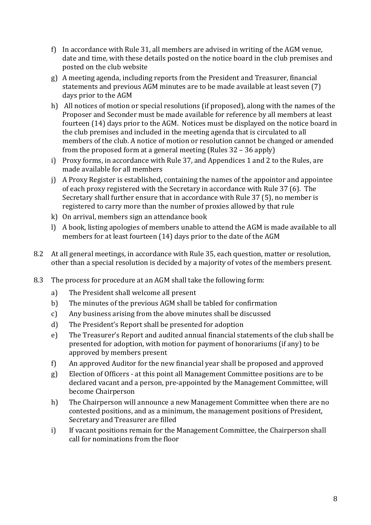- f) In accordance with Rule 31, all members are advised in writing of the AGM venue, date and time, with these details posted on the notice board in the club premises and posted on the club website
- g) A meeting agenda, including reports from the President and Treasurer, financial statements and previous AGM minutes are to be made available at least seven (7) days prior to the AGM
- h) All notices of motion or special resolutions (if proposed), along with the names of the Proposer and Seconder must be made available for reference by all members at least fourteen (14) days prior to the AGM. Notices must be displayed on the notice board in the club premises and included in the meeting agenda that is circulated to all members of the club. A notice of motion or resolution cannot be changed or amended from the proposed form at a general meeting (Rules 32 – 36 apply)
- i) Proxy forms, in accordance with Rule 37, and Appendices 1 and 2 to the Rules, are made available for all members
- j) A Proxy Register is established, containing the names of the appointor and appointee of each proxy registered with the Secretary in accordance with Rule 37 (6). The Secretary shall further ensure that in accordance with Rule 37 (5), no member is registered to carry more than the number of proxies allowed by that rule
- k) On arrival, members sign an attendance book
- l) A book, listing apologies of members unable to attend the AGM is made available to all members for at least fourteen (14) days prior to the date of the AGM
- 8.2 At all general meetings, in accordance with Rule 35, each question, matter or resolution, other than a special resolution is decided by a majority of votes of the members present.
- 8.3 The process for procedure at an AGM shall take the following form:
	- a) The President shall welcome all present
	- b) The minutes of the previous AGM shall be tabled for confirmation
	- c) Any business arising from the above minutes shall be discussed
	- d) The President's Report shall be presented for adoption
	- e) The Treasurer's Report and audited annual financial statements of the club shall be presented for adoption, with motion for payment of honorariums (if any) to be approved by members present
	- f) An approved Auditor for the new financial year shall be proposed and approved
	- g) Election of Officers at this point all Management Committee positions are to be declared vacant and a person, pre-appointed by the Management Committee, will become Chairperson
	- h) The Chairperson will announce a new Management Committee when there are no contested positions, and as a minimum, the management positions of President, Secretary and Treasurer are filled
	- i) If vacant positions remain for the Management Committee, the Chairperson shall call for nominations from the floor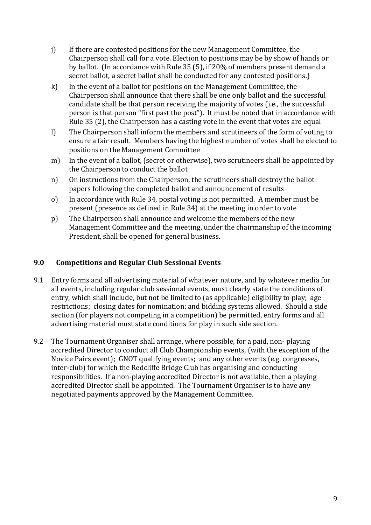- j) If there are contested positions for the new Management Committee, the Chairperson shall call for a vote. Election to positions may be by show of hands or by ballot. (In accordance with Rule 35 (5), if 20% of members present demand a secret ballot, a secret ballot shall be conducted for any contested positions.)
- k) In the event of a ballot for positions on the Management Committee, the Chairperson shall announce that there shall be one only ballot and the successful candidate shall be that person receiving the majority of votes (i.e., the successful person is that person "first past the post"). It must be noted that in accordance with Rule 35 (2), the Chairperson has a casting vote in the event that votes are equal
- l) The Chairperson shall inform the members and scrutineers of the form of voting to ensure a fair result. Members having the highest number of votes shall be elected to positions on the Management Committee
- m) In the event of a ballot, (secret or otherwise), two scrutineers shall be appointed by the Chairperson to conduct the ballot
- n) On instructions from the Chairperson, the scrutineers shall destroy the ballot papers following the completed ballot and announcement of results
- o) In accordance with Rule 34, postal voting is not permitted. A member must be present (presence as defined in Rule 34) at the meeting in order to vote
- p) The Chairperson shall announce and welcome the members of the new Management Committee and the meeting, under the chairmanship of the incoming President, shall be opened for general business.

## **9.0 Competitions and Regular Club Sessional Events**

- 9.1 Entry forms and all advertising material of whatever nature, and by whatever media for all events, including regular club sessional events, must clearly state the conditions of entry, which shall include, but not be limited to (as applicable) eligibility to play; age restrictions; closing dates for nomination; and bidding systems allowed. Should a side section (for players not competing in a competition) be permitted, entry forms and all advertising material must state conditions for play in such side section.
- 9.2 The Tournament Organiser shall arrange, where possible, for a paid, non- playing accredited Director to conduct all Club Championship events, (with the exception of the Novice Pairs event); GNOT qualifying events; and any other events (e.g. congresses, inter-club) for which the Redcliffe Bridge Club has organising and conducting responsibilities. If a non-playing accredited Director is not available, then a playing accredited Director shall be appointed. The Tournament Organiser is to have any negotiated payments approved by the Management Committee.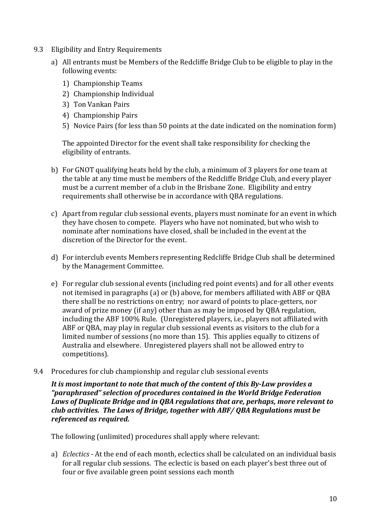- 9.3 Eligibility and Entry Requirements
	- a) All entrants must be Members of the Redcliffe Bridge Club to be eligible to play in the following events:
		- 1) Championship Teams
		- 2) Championship Individual
		- 3) Ton Vankan Pairs
		- 4) Championship Pairs
		- 5) Novice Pairs (for less than 50 points at the date indicated on the nomination form)

The appointed Director for the event shall take responsibility for checking the eligibility of entrants.

- b) For GNOT qualifying heats held by the club, a minimum of 3 players for one team at the table at any time must be members of the Redcliffe Bridge Club, and every player must be a current member of a club in the Brisbane Zone. Eligibility and entry requirements shall otherwise be in accordance with QBA regulations.
- c) Apart from regular club sessional events, players must nominate for an event in which they have chosen to compete. Players who have not nominated, but who wish to nominate after nominations have closed, shall be included in the event at the discretion of the Director for the event.
- d) For interclub events Members representing Redcliffe Bridge Club shall be determined by the Management Committee.
- e) For regular club sessional events (including red point events) and for all other events not itemised in paragraphs (a) or (b) above, for members affiliated with ABF or QBA there shall be no restrictions on entry; nor award of points to place-getters, nor award of prize money (if any) other than as may be imposed by QBA regulation, including the ABF 100% Rule. (Unregistered players, i.e., players not affiliated with ABF or QBA, may play in regular club sessional events as visitors to the club for a limited number of sessions (no more than 15). This applies equally to citizens of Australia and elsewhere. Unregistered players shall not be allowed entry to competitions).
- 9.4 Procedures for club championship and regular club sessional events

*It is most important to note that much of the content of this By-Law provides a "paraphrased" selection of procedures contained in the World Bridge Federation Laws of Duplicate Bridge and in QBA regulations that are, perhaps, more relevant to club activities. The Laws of Bridge, together with ABF/ QBA Regulations must be referenced as required.*

The following (unlimited) procedures shall apply where relevant:

a) *Eclectics -* At the end of each month, eclectics shall be calculated on an individual basis for all regular club sessions. The eclectic is based on each player's best three out of four or five available green point sessions each month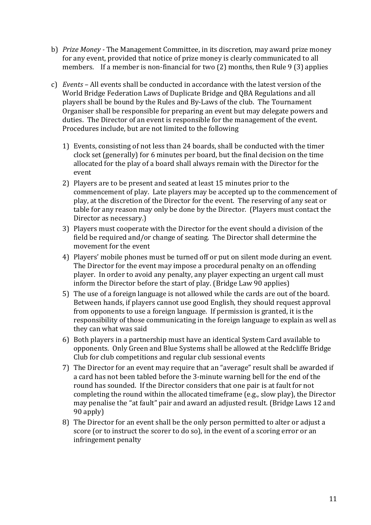- b) *Prize Money -* The Management Committee, in its discretion, may award prize money for any event, provided that notice of prize money is clearly communicated to all members. If a member is non-financial for two (2) months, then Rule 9 (3) applies
- c) *Events* All events shall be conducted in accordance with the latest version of the World Bridge Federation Laws of Duplicate Bridge and QBA Regulations and all players shall be bound by the Rules and By-Laws of the club. The Tournament Organiser shall be responsible for preparing an event but may delegate powers and duties. The Director of an event is responsible for the management of the event. Procedures include, but are not limited to the following
	- 1) Events, consisting of not less than 24 boards, shall be conducted with the timer clock set (generally) for 6 minutes per board, but the final decision on the time allocated for the play of a board shall always remain with the Director for the event
	- 2) Players are to be present and seated at least 15 minutes prior to the commencement of play. Late players may be accepted up to the commencement of play, at the discretion of the Director for the event. The reserving of any seat or table for any reason may only be done by the Director. (Players must contact the Director as necessary.)
	- 3) Players must cooperate with the Director for the event should a division of the field be required and/or change of seating. The Director shall determine the movement for the event
	- 4) Players' mobile phones must be turned off or put on silent mode during an event. The Director for the event may impose a procedural penalty on an offending player. In order to avoid any penalty, any player expecting an urgent call must inform the Director before the start of play. (Bridge Law 90 applies)
	- 5) The use of a foreign language is not allowed while the cards are out of the board. Between hands, if players cannot use good English, they should request approval from opponents to use a foreign language. If permission is granted, it is the responsibility of those communicating in the foreign language to explain as well as they can what was said
	- 6) Both players in a partnership must have an identical System Card available to opponents. Only Green and Blue Systems shall be allowed at the Redcliffe Bridge Club for club competitions and regular club sessional events
	- 7) The Director for an event may require that an "average" result shall be awarded if a card has not been tabled before the 3-minute warning bell for the end of the round has sounded. If the Director considers that one pair is at fault for not completing the round within the allocated timeframe (e.g., slow play), the Director may penalise the "at fault" pair and award an adjusted result. (Bridge Laws 12 and 90 apply)
	- 8) The Director for an event shall be the only person permitted to alter or adjust a score (or to instruct the scorer to do so), in the event of a scoring error or an infringement penalty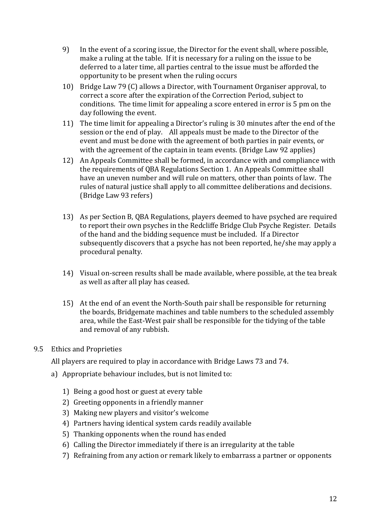- 9) In the event of a scoring issue, the Director for the event shall, where possible, make a ruling at the table. If it is necessary for a ruling on the issue to be deferred to a later time, all parties central to the issue must be afforded the opportunity to be present when the ruling occurs
- 10) Bridge Law 79 (C) allows a Director, with Tournament Organiser approval, to correct a score after the expiration of the Correction Period, subject to conditions. The time limit for appealing a score entered in error is 5 pm on the day following the event.
- 11) The time limit for appealing a Director's ruling is 30 minutes after the end of the session or the end of play. All appeals must be made to the Director of the event and must be done with the agreement of both parties in pair events, or with the agreement of the captain in team events. (Bridge Law 92 applies)
- 12) An Appeals Committee shall be formed, in accordance with and compliance with the requirements of QBA Regulations Section 1. An Appeals Committee shall have an uneven number and will rule on matters, other than points of law. The rules of natural justice shall apply to all committee deliberations and decisions. (Bridge Law 93 refers)
- 13) As per Section B, QBA Regulations, players deemed to have psyched are required to report their own psyches in the Redcliffe Bridge Club Psyche Register. Details of the hand and the bidding sequence must be included. If a Director subsequently discovers that a psyche has not been reported, he/she may apply a procedural penalty.
- 14) Visual on-screen results shall be made available, where possible, at the tea break as well as after all play has ceased.
- 15) At the end of an event the North-South pair shall be responsible for returning the boards, Bridgemate machines and table numbers to the scheduled assembly area, while the East-West pair shall be responsible for the tidying of the table and removal of any rubbish.
- 9.5 Ethics and Proprieties

All players are required to play in accordance with Bridge Laws 73 and 74.

- a) Appropriate behaviour includes, but is not limited to:
	- 1) Being a good host or guest at every table
	- 2) Greeting opponents in a friendly manner
	- 3) Making new players and visitor's welcome
	- 4) Partners having identical system cards readily available
	- 5) Thanking opponents when the round has ended
	- 6) Calling the Director immediately if there is an irregularity at the table
	- 7) Refraining from any action or remark likely to embarrass a partner or opponents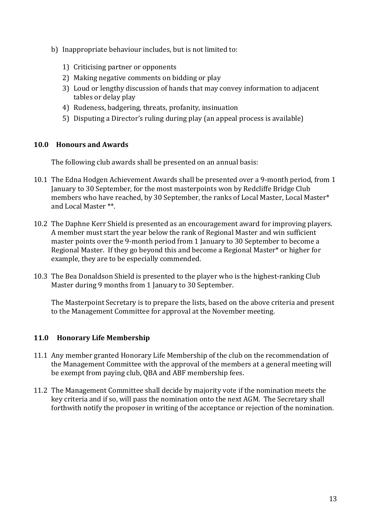- b) Inappropriate behaviour includes, but is not limited to:
	- 1) Criticising partner or opponents
	- 2) Making negative comments on bidding or play
	- 3) Loud or lengthy discussion of hands that may convey information to adjacent tables or delay play
	- 4) Rudeness, badgering, threats, profanity, insinuation
	- 5) Disputing a Director's ruling during play (an appeal process is available)

#### **10.0 Honours and Awards**

The following club awards shall be presented on an annual basis:

- 10.1 The Edna Hodgen Achievement Awards shall be presented over a 9-month period, from 1 January to 30 September, for the most masterpoints won by Redcliffe Bridge Club members who have reached, by 30 September, the ranks of Local Master, Local Master\* and Local Master \*\*.
- 10.2 The Daphne Kerr Shield is presented as an encouragement award for improving players. A member must start the year below the rank of Regional Master and win sufficient master points over the 9-month period from 1 January to 30 September to become a Regional Master. If they go beyond this and become a Regional Master\* or higher for example, they are to be especially commended.
- 10.3 The Bea Donaldson Shield is presented to the player who is the highest-ranking Club Master during 9 months from 1 January to 30 September.

The Masterpoint Secretary is to prepare the lists, based on the above criteria and present to the Management Committee for approval at the November meeting.

#### **11.0 Honorary Life Membership**

- 11.1 Any member granted Honorary Life Membership of the club on the recommendation of the Management Committee with the approval of the members at a general meeting will be exempt from paying club, QBA and ABF membership fees.
- 11.2 The Management Committee shall decide by majority vote if the nomination meets the key criteria and if so, will pass the nomination onto the next AGM. The Secretary shall forthwith notify the proposer in writing of the acceptance or rejection of the nomination.